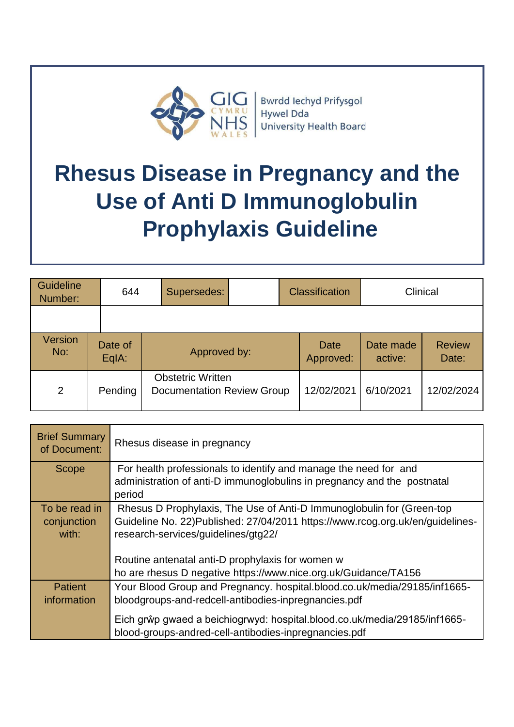

## **Rhesus Disease in Pregnancy and the Use of Anti D Immunoglobulin Prophylaxis Guideline**

| Guideline<br>Number:  | 644              | Supersedes: |                                                               | <b>Classification</b> | Clinical             |                        |
|-----------------------|------------------|-------------|---------------------------------------------------------------|-----------------------|----------------------|------------------------|
|                       |                  |             |                                                               |                       |                      |                        |
| <b>Version</b><br>No: | Date of<br>EqIA: |             | Approved by:                                                  |                       | Date made<br>active: | <b>Review</b><br>Date: |
| 2                     | Pending          |             | <b>Obstetric Written</b><br><b>Documentation Review Group</b> |                       | 6/10/2021            | 12/02/2024             |

| <b>Brief Summary</b><br>of Document: | Rhesus disease in pregnancy                                                                                                        |
|--------------------------------------|------------------------------------------------------------------------------------------------------------------------------------|
| Scope                                | For health professionals to identify and manage the need for and                                                                   |
|                                      | administration of anti-D immunoglobulins in pregnancy and the postnatal<br>period                                                  |
| To be read in                        | Rhesus D Prophylaxis, The Use of Anti-D Immunoglobulin for (Green-top                                                              |
| conjunction                          | Guideline No. 22) Published: 27/04/2011 https://www.rcog.org.uk/en/guidelines-                                                     |
| with:                                | research-services/guidelines/gtg22/                                                                                                |
|                                      |                                                                                                                                    |
|                                      | Routine antenatal anti-D prophylaxis for women w                                                                                   |
|                                      | ho are rhesus D negative https://www.nice.org.uk/Guidance/TA156                                                                    |
| <b>Patient</b>                       | Your Blood Group and Pregnancy. hospital.blood.co.uk/media/29185/inf1665-                                                          |
| information                          | bloodgroups-and-redcell-antibodies-inpregnancies.pdf                                                                               |
|                                      | Eich grŵp gwaed a beichiogrwyd: hospital.blood.co.uk/media/29185/inf1665-<br>blood-groups-andred-cell-antibodies-inpregnancies.pdf |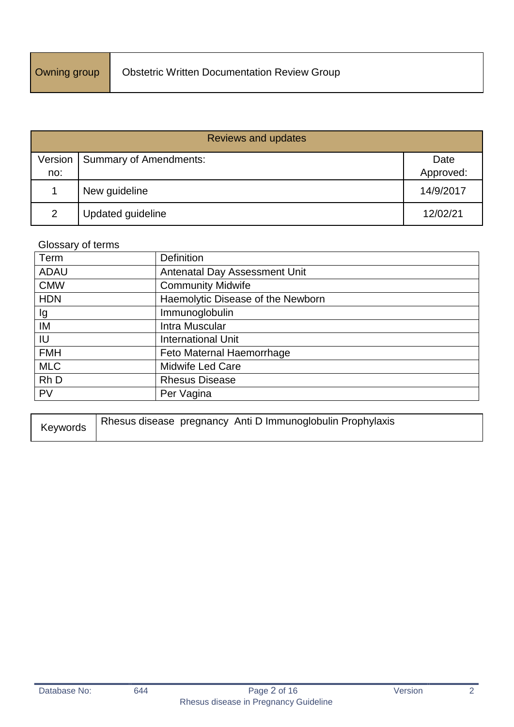| <b>Reviews and updates</b> |                               |           |  |
|----------------------------|-------------------------------|-----------|--|
| Version                    | <b>Summary of Amendments:</b> | Date      |  |
| no:                        |                               | Approved: |  |
|                            | New guideline                 | 14/9/2017 |  |
| 2                          | Updated guideline             | 12/02/21  |  |

## Glossary of terms

| Term        | <b>Definition</b>                 |
|-------------|-----------------------------------|
| <b>ADAU</b> | Antenatal Day Assessment Unit     |
| <b>CMW</b>  | <b>Community Midwife</b>          |
| <b>HDN</b>  | Haemolytic Disease of the Newborn |
| lg          | Immunoglobulin                    |
| IM          | Intra Muscular                    |
| IU          | <b>International Unit</b>         |
| <b>FMH</b>  | Feto Maternal Haemorrhage         |
| <b>MLC</b>  | <b>Midwife Led Care</b>           |
| Rh D        | <b>Rhesus Disease</b>             |
| <b>PV</b>   | Per Vagina                        |

| Keywords | I Rhesus disease pregnancy Anti D Immunoglobulin Prophylaxis |
|----------|--------------------------------------------------------------|
|----------|--------------------------------------------------------------|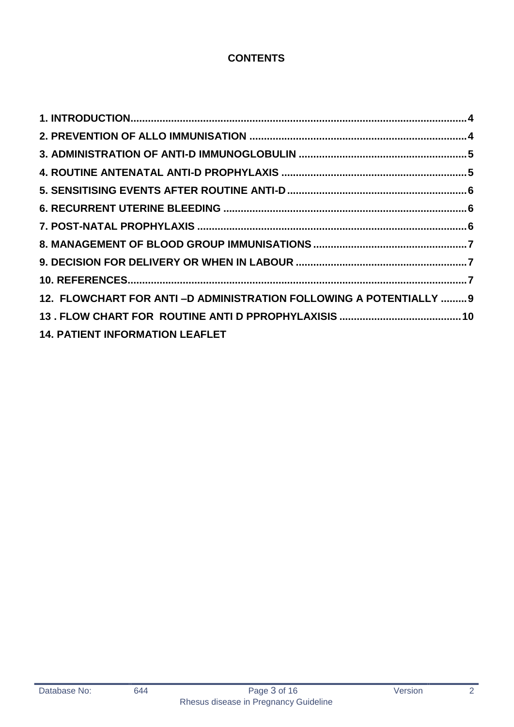## **CONTENTS**

| 12. FLOWCHART FOR ANTI-D ADMINISTRATION FOLLOWING A POTENTIALLY  9 |  |
|--------------------------------------------------------------------|--|
|                                                                    |  |
| <b>14. PATIENT INFORMATION LEAFLET</b>                             |  |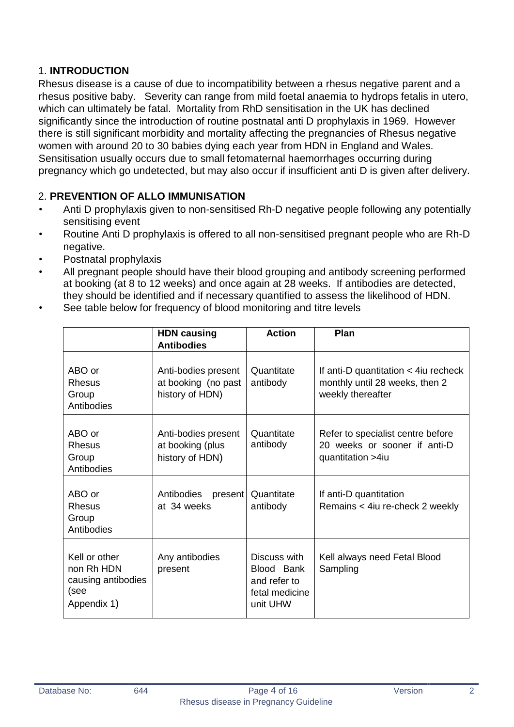## <span id="page-3-0"></span>1. **INTRODUCTION**

Rhesus disease is a cause of due to incompatibility between a rhesus negative parent and a rhesus positive baby. Severity can range from mild foetal anaemia to hydrops fetalis in utero, which can ultimately be fatal. Mortality from RhD sensitisation in the UK has declined significantly since the introduction of routine postnatal anti D prophylaxis in 1969. However there is still significant morbidity and mortality affecting the pregnancies of Rhesus negative women with around 20 to 30 babies dying each year from HDN in England and Wales. Sensitisation usually occurs due to small fetomaternal haemorrhages occurring during pregnancy which go undetected, but may also occur if insufficient anti D is given after delivery.

## <span id="page-3-1"></span>2. **PREVENTION OF ALLO IMMUNISATION**

- Anti D prophylaxis given to non-sensitised Rh-D negative people following any potentially sensitising event
- Routine Anti D prophylaxis is offered to all non-sensitised pregnant people who are Rh-D negative.
- Postnatal prophylaxis
- All pregnant people should have their blood grouping and antibody screening performed at booking (at 8 to 12 weeks) and once again at 28 weeks. If antibodies are detected, they should be identified and if necessary quantified to assess the likelihood of HDN.
- See table below for frequency of blood monitoring and titre levels

|                                                                          | <b>HDN causing</b><br><b>Antibodies</b>                       | <b>Action</b>                                                            | Plan                                                                                             |
|--------------------------------------------------------------------------|---------------------------------------------------------------|--------------------------------------------------------------------------|--------------------------------------------------------------------------------------------------|
| ABO or<br><b>Rhesus</b><br>Group<br>Antibodies                           | Anti-bodies present<br>at booking (no past<br>history of HDN) | Quantitate<br>antibody                                                   | If anti-D quantitation $\lt$ 4 iu recheck<br>monthly until 28 weeks, then 2<br>weekly thereafter |
| ABO or<br><b>Rhesus</b><br>Group<br>Antibodies                           | Anti-bodies present<br>at booking (plus<br>history of HDN)    | Quantitate<br>antibody                                                   | Refer to specialist centre before<br>20 weeks or sooner if anti-D<br>quantitation >4iu           |
| ABO or<br>Rhesus<br>Group<br>Antibodies                                  | Antibodies<br>present<br>at 34 weeks                          | Quantitate<br>antibody                                                   | If anti-D quantitation<br>Remains < 4iu re-check 2 weekly                                        |
| Kell or other<br>non Rh HDN<br>causing antibodies<br>(see<br>Appendix 1) | Any antibodies<br>present                                     | Discuss with<br>Blood Bank<br>and refer to<br>fetal medicine<br>unit UHW | Kell always need Fetal Blood<br>Sampling                                                         |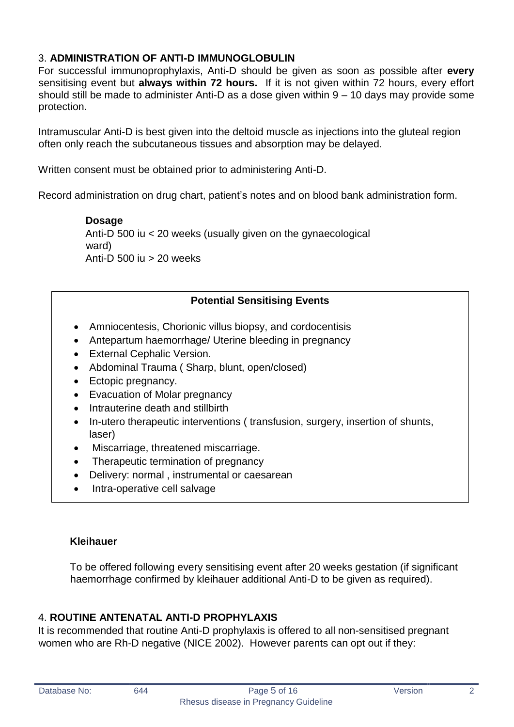## <span id="page-4-0"></span>3. **ADMINISTRATION OF ANTI-D IMMUNOGLOBULIN**

For successful immunoprophylaxis, Anti-D should be given as soon as possible after **every** sensitising event but **always within 72 hours.** If it is not given within 72 hours, every effort should still be made to administer Anti-D as a dose given within 9 – 10 days may provide some protection.

Intramuscular Anti-D is best given into the deltoid muscle as injections into the gluteal region often only reach the subcutaneous tissues and absorption may be delayed.

Written consent must be obtained prior to administering Anti-D.

Record administration on drug chart, patient's notes and on blood bank administration form.

**Dosage**  Anti-D 500 iu < 20 weeks (usually given on the gynaecological ward) Anti-D 500 iu > 20 weeks

## **Potential Sensitising Events**

- Amniocentesis, Chorionic villus biopsy, and cordocentisis
- Antepartum haemorrhage/ Uterine bleeding in pregnancy
- External Cephalic Version.
- Abdominal Trauma ( Sharp, blunt, open/closed)
- Ectopic pregnancy.
- Evacuation of Molar pregnancy
- Intrauterine death and stillbirth
- In-utero therapeutic interventions ( transfusion, surgery, insertion of shunts, laser)
- Miscarriage, threatened miscarriage.
- Therapeutic termination of pregnancy
- Delivery: normal, instrumental or caesarean
- Intra-operative cell salvage

#### **Kleihauer**

To be offered following every sensitising event after 20 weeks gestation (if significant haemorrhage confirmed by kleihauer additional Anti-D to be given as required).

## <span id="page-4-1"></span>4. **ROUTINE ANTENATAL ANTI-D PROPHYLAXIS**

It is recommended that routine Anti-D prophylaxis is offered to all non-sensitised pregnant women who are Rh-D negative (NICE 2002). However parents can opt out if they: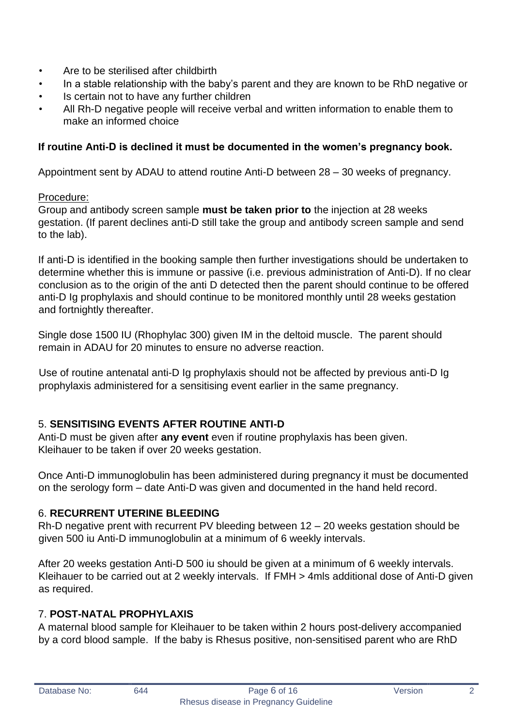- Are to be sterilised after childbirth
- In a stable relationship with the baby's parent and they are known to be RhD negative or
- Is certain not to have any further children
- All Rh-D negative people will receive verbal and written information to enable them to make an informed choice

#### **If routine Anti-D is declined it must be documented in the women's pregnancy book.**

Appointment sent by ADAU to attend routine Anti-D between 28 – 30 weeks of pregnancy.

#### Procedure:

Group and antibody screen sample **must be taken prior to** the injection at 28 weeks gestation. (If parent declines anti-D still take the group and antibody screen sample and send to the lab).

If anti-D is identified in the booking sample then further investigations should be undertaken to determine whether this is immune or passive (i.e. previous administration of Anti-D). If no clear conclusion as to the origin of the anti D detected then the parent should continue to be offered anti-D Ig prophylaxis and should continue to be monitored monthly until 28 weeks gestation and fortnightly thereafter.

Single dose 1500 IU (Rhophylac 300) given IM in the deltoid muscle. The parent should remain in ADAU for 20 minutes to ensure no adverse reaction.

Use of routine antenatal anti-D Ig prophylaxis should not be affected by previous anti-D Ig prophylaxis administered for a sensitising event earlier in the same pregnancy.

## <span id="page-5-0"></span>5. **SENSITISING EVENTS AFTER ROUTINE ANTI-D**

Anti-D must be given after **any event** even if routine prophylaxis has been given. Kleihauer to be taken if over 20 weeks gestation.

Once Anti-D immunoglobulin has been administered during pregnancy it must be documented on the serology form – date Anti-D was given and documented in the hand held record.

#### <span id="page-5-1"></span>6. **RECURRENT UTERINE BLEEDING**

Rh-D negative prent with recurrent PV bleeding between 12 – 20 weeks gestation should be given 500 iu Anti-D immunoglobulin at a minimum of 6 weekly intervals.

After 20 weeks gestation Anti-D 500 iu should be given at a minimum of 6 weekly intervals. Kleihauer to be carried out at 2 weekly intervals. If FMH > 4mls additional dose of Anti-D given as required.

#### <span id="page-5-2"></span>7. **POST-NATAL PROPHYLAXIS**

A maternal blood sample for Kleihauer to be taken within 2 hours post-delivery accompanied by a cord blood sample. If the baby is Rhesus positive, non-sensitised parent who are RhD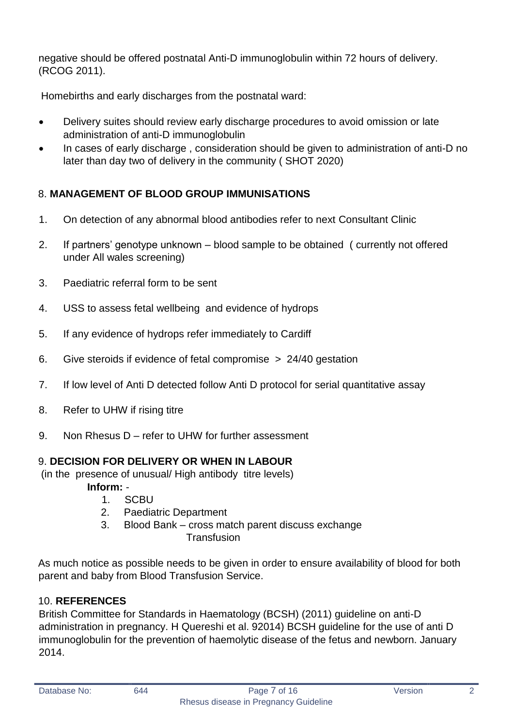negative should be offered postnatal Anti-D immunoglobulin within 72 hours of delivery. (RCOG 2011).

Homebirths and early discharges from the postnatal ward:

- Delivery suites should review early discharge procedures to avoid omission or late administration of anti-D immunoglobulin
- In cases of early discharge , consideration should be given to administration of anti-D no later than day two of delivery in the community ( SHOT 2020)

## <span id="page-6-0"></span>8. **MANAGEMENT OF BLOOD GROUP IMMUNISATIONS**

- 1. On detection of any abnormal blood antibodies refer to next Consultant Clinic
- 2. If partners' genotype unknown blood sample to be obtained ( currently not offered under All wales screening)
- 3. Paediatric referral form to be sent
- 4. USS to assess fetal wellbeing and evidence of hydrops
- 5. If any evidence of hydrops refer immediately to Cardiff
- 6. Give steroids if evidence of fetal compromise > 24/40 gestation
- 7. If low level of Anti D detected follow Anti D protocol for serial quantitative assay
- 8. Refer to UHW if rising titre
- 9. Non Rhesus D refer to UHW for further assessment

## <span id="page-6-1"></span>9. **DECISION FOR DELIVERY OR WHEN IN LABOUR**

(in the presence of unusual/ High antibody titre levels)

**Inform:** -

- 1. SCBU
- 2. Paediatric Department
- 3. Blood Bank cross match parent discuss exchange Transfusion

As much notice as possible needs to be given in order to ensure availability of blood for both parent and baby from Blood Transfusion Service.

## <span id="page-6-2"></span>10. **REFERENCES**

British Committee for Standards in Haematology (BCSH) (2011) guideline on anti-D administration in pregnancy. H Quereshi et al. 92014) BCSH guideline for the use of anti D immunoglobulin for the prevention of haemolytic disease of the fetus and newborn. January 2014.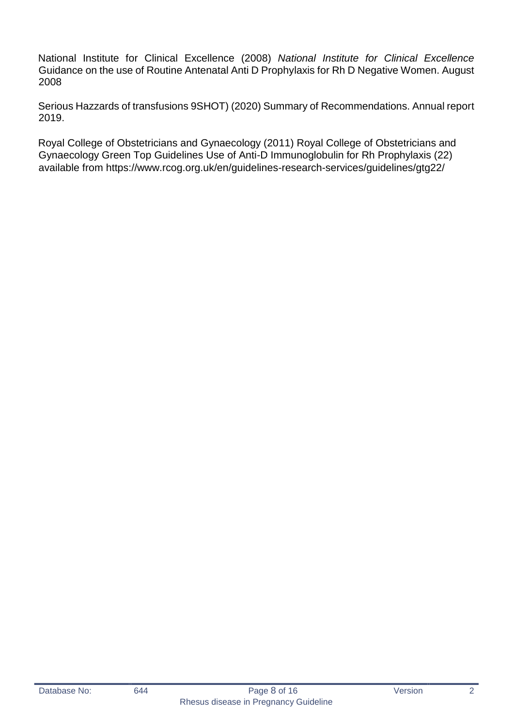National Institute for Clinical Excellence (2008) *National Institute for Clinical Excellence* Guidance on the use of Routine Antenatal Anti D Prophylaxis for Rh D Negative Women. August 2008

Serious Hazzards of transfusions 9SHOT) (2020) Summary of Recommendations. Annual report 2019.

Royal College of Obstetricians and Gynaecology (2011) Royal College of Obstetricians and Gynaecology Green Top Guidelines Use of Anti-D Immunoglobulin for Rh Prophylaxis (22) available from https://www.rcog.org.uk/en/guidelines-research-services/guidelines/gtg22/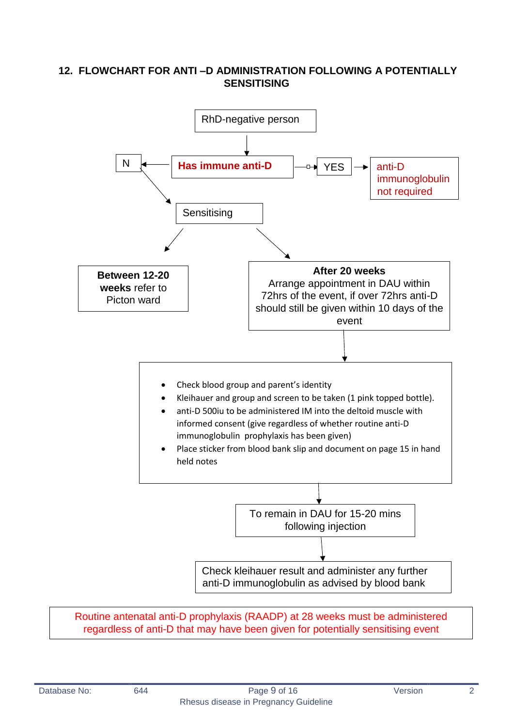## <span id="page-8-0"></span>**12. FLOWCHART FOR ANTI –D ADMINISTRATION FOLLOWING A POTENTIALLY SENSITISING**



Routine antenatal anti-D prophylaxis (RAADP) at 28 weeks must be administered regardless of anti-D that may have been given for potentially sensitising event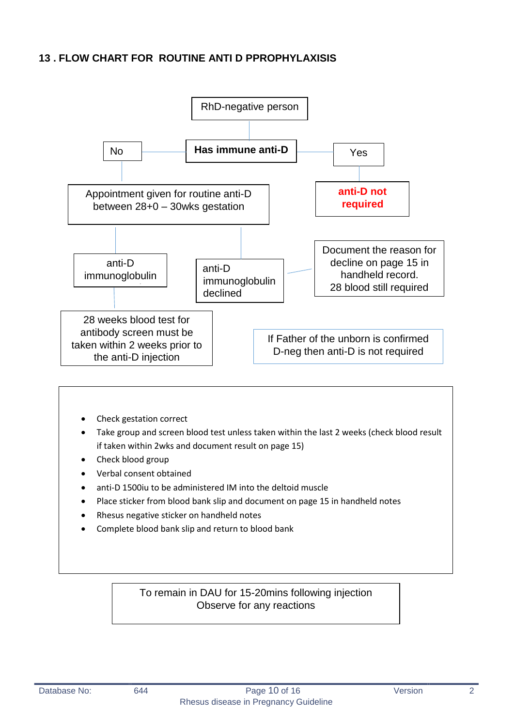## <span id="page-9-0"></span>**13 . FLOW CHART FOR ROUTINE ANTI D PPROPHYLAXISIS**



- Check gestation correct
- Take group and screen blood test unless taken within the last 2 weeks (check blood result if taken within 2wks and document result on page 15)
- Check blood group
- Verbal consent obtained
- anti-D 1500iu to be administered IM into the deltoid muscle
- Place sticker from blood bank slip and document on page 15 in handheld notes
- Rhesus negative sticker on handheld notes
- Complete blood bank slip and return to blood bank

To remain in DAU for 15-20mins following injection Observe for any reactions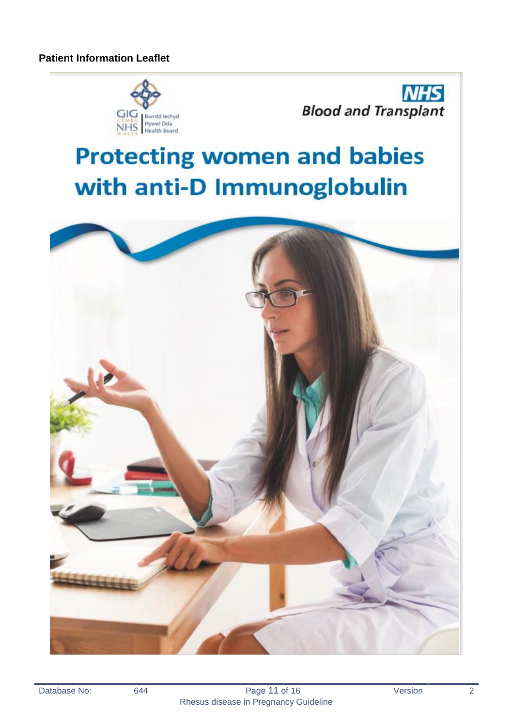



# **Protecting women and babies** with anti-D Immunoglobulin

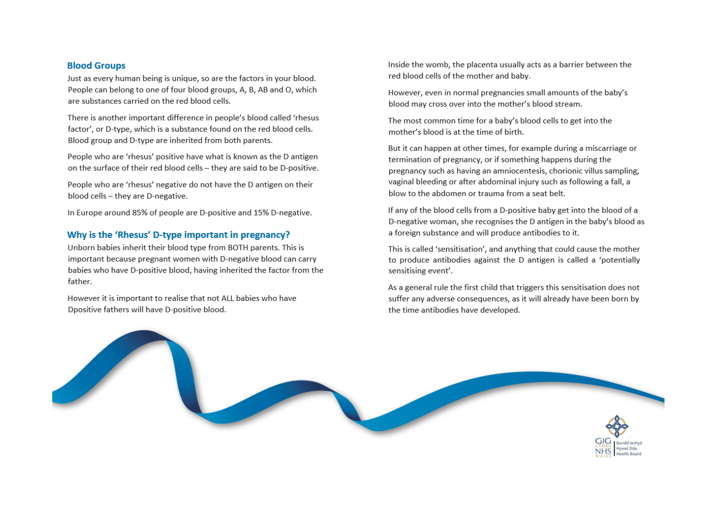#### **Blood Groups**

Just as every human being is unique, so are the factors in your blood. People can belong to one of four blood groups, A, B, AB and O, which are substances carried on the red blood cells.

There is another important difference in people's blood called 'rhesus factor', or D-type, which is a substance found on the red blood cells. Blood group and D-type are inherited from both parents.

People who are 'rhesus' positive have what is known as the D antigen on the surface of their red blood cells - they are said to be D-positive.

People who are 'rhesus' negative do not have the D antigen on their blood cells - they are D-negative.

In Europe around 85% of people are D-positive and 15% D-negative.

#### Why is the 'Rhesus' D-type important in pregnancy?

Unborn babies inherit their blood type from BOTH parents. This is important because pregnant women with D-negative blood can carry babies who have D-positive blood, having inherited the factor from the father.

However it is important to realise that not ALL babies who have Dpositive fathers will have D-positive blood.

Inside the womb, the placenta usually acts as a barrier between the red blood cells of the mother and baby.

However, even in normal pregnancies small amounts of the baby's blood may cross over into the mother's blood stream.

The most common time for a baby's blood cells to get into the mother's blood is at the time of birth.

But it can happen at other times, for example during a miscarriage or termination of pregnancy, or if something happens during the pregnancy such as having an amniocentesis, chorionic villus sampling, vaginal bleeding or after abdominal injury such as following a fall, a blow to the abdomen or trauma from a seat belt.

If any of the blood cells from a D-positive baby get into the blood of a D-negative woman, she recognises the D antigen in the baby's blood as a foreign substance and will produce antibodies to it.

This is called 'sensitisation', and anything that could cause the mother to produce antibodies against the D antigen is called a 'potentially sensitising event'.

As a general rule the first child that triggers this sensitisation does not suffer any adverse consequences, as it will already have been born by the time antibodies have developed.

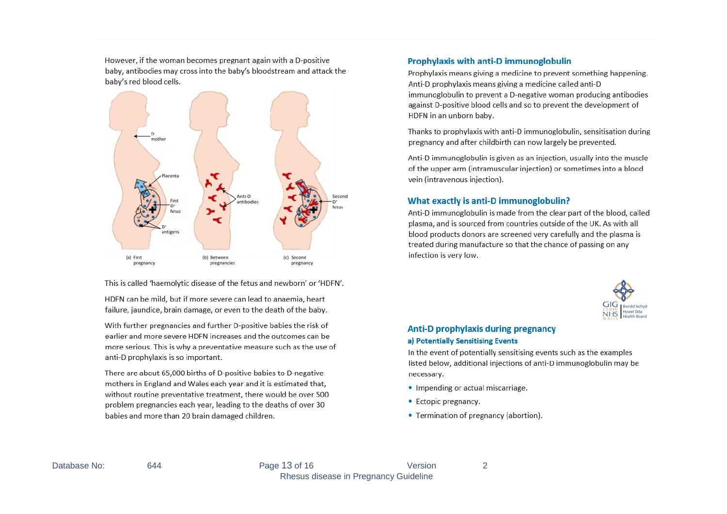However, if the woman becomes pregnant again with a D-positive baby, antibodies may cross into the baby's bloodstream and attack the baby's red blood cells.



This is called 'haemolytic disease of the fetus and newborn' or 'HDFN'.

HDFN can be mild, but if more severe can lead to anaemia, heart failure, jaundice, brain damage, or even to the death of the baby.

With further pregnancies and further D-positive babies the risk of earlier and more severe HDFN increases and the outcomes can be more serious. This is why a preventative measure such as the use of anti-D prophylaxis is so important.

There are about 65,000 births of D-positive babies to D-negative mothers in England and Wales each year and it is estimated that, without routine preventative treatment, there would be over 500 problem pregnancies each year, leading to the deaths of over 30 babies and more than 20 brain damaged children.

#### **Prophylaxis with anti-D immunoglobulin**

Prophylaxis means giving a medicine to prevent something happening. Anti-D prophylaxis means giving a medicine called anti-D immunoglobulin to prevent a D-negative woman producing antibodies against D-positive blood cells and so to prevent the development of HDFN in an unborn baby.

Thanks to prophylaxis with anti-D immunoglobulin, sensitisation during pregnancy and after childbirth can now largely be prevented.

Anti-D immunoglobulin is given as an injection, usually into the muscle of the upper arm (intramuscular injection) or sometimes into a blood vein (intravenous injection).

#### What exactly is anti-D immunoglobulin?

Anti-D immunoglobulin is made from the clear part of the blood, called plasma, and is sourced from countries outside of the UK. As with all blood products donors are screened very carefully and the plasma is treated during manufacture so that the chance of passing on any infection is very low.



#### **Anti-D prophylaxis during pregnancy** a) Potentially Sensitising Events

In the event of potentially sensitising events such as the examples listed below, additional injections of anti-D immunoglobulin may be necessary.

- Impending or actual miscarriage.
- Ectopic pregnancy.
- Termination of pregnancy (abortion).

644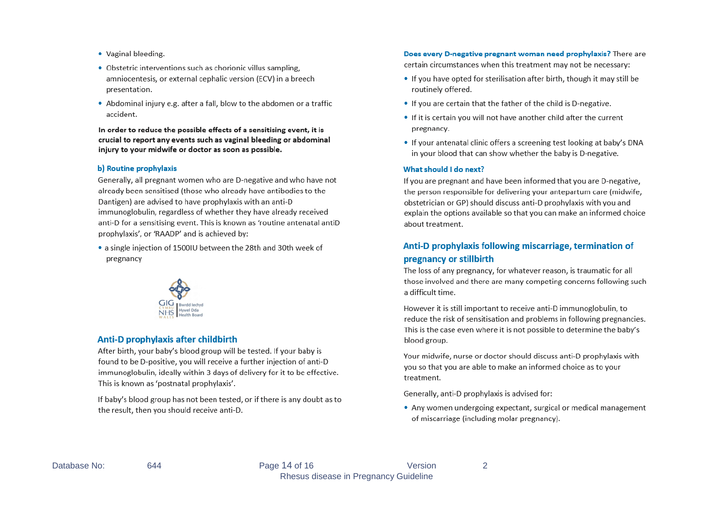- Vaginal bleeding.
- Obstetric interventions such as chorionic villus sampling. amniocentesis, or external cephalic version (ECV) in a breech presentation.
- Abdominal injury e.g. after a fall, blow to the abdomen or a traffic accident.

In order to reduce the possible effects of a sensitising event, it is crucial to report any events such as vaginal bleeding or abdominal injury to your midwife or doctor as soon as possible.

#### b) Routine prophylaxis

Generally, all pregnant women who are D-negative and who have not already been sensitised (those who already have antibodies to the Dantigen) are advised to have prophylaxis with an anti-D immunoglobulin, regardless of whether they have already received anti-D for a sensitising event. This is known as 'routine antenatal antiD prophylaxis', or 'RAADP' and is achieved by:

• a single injection of 1500IU between the 28th and 30th week of pregnancy



#### Anti-D prophylaxis after childbirth

After birth, your baby's blood group will be tested. If your baby is found to be D-positive, you will receive a further injection of anti-D immunoglobulin, ideally within 3 days of delivery for it to be effective. This is known as 'postnatal prophylaxis'.

If baby's blood group has not been tested, or if there is any doubt as to the result, then you should receive anti-D.

#### Does every D-negative pregnant woman need prophylaxis? There are

certain circumstances when this treatment may not be necessary:

- If you have opted for sterilisation after birth, though it may still be routinely offered.
- If you are certain that the father of the child is D-negative.
- If it is certain you will not have another child after the current pregnancy.
- If your antenatal clinic offers a screening test looking at baby's DNA in your blood that can show whether the baby is D-negative.

#### What should I do next?

If you are pregnant and have been informed that you are D-negative, the person responsible for delivering your antepartum care (midwife, obstetrician or GP) should discuss anti-D prophylaxis with you and explain the options available so that you can make an informed choice about treatment.

#### Anti-D prophylaxis following miscarriage, termination of pregnancy or stillbirth

The loss of any pregnancy, for whatever reason, is traumatic for all those involved and there are many competing concerns following such a difficult time.

However it is still important to receive anti-D immunoglobulin, to reduce the risk of sensitisation and problems in following pregnancies. This is the case even where it is not possible to determine the baby's blood group.

Your midwife, nurse or doctor should discuss anti-D prophylaxis with you so that you are able to make an informed choice as to your treatment.

Generally, anti-D prophylaxis is advised for:

• Any women undergoing expectant, surgical or medical management of miscarriage (including molar pregnancy).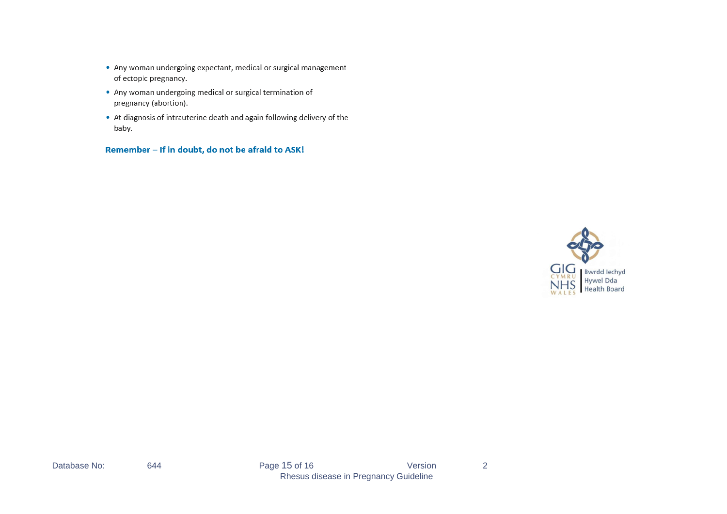- Any woman undergoing expectant, medical or surgical management of ectopic pregnancy.
- Any woman undergoing medical or surgical termination of pregnancy (abortion).
- At diagnosis of intrauterine death and again following delivery of the baby.

Remember - If in doubt, do not be afraid to ASK!